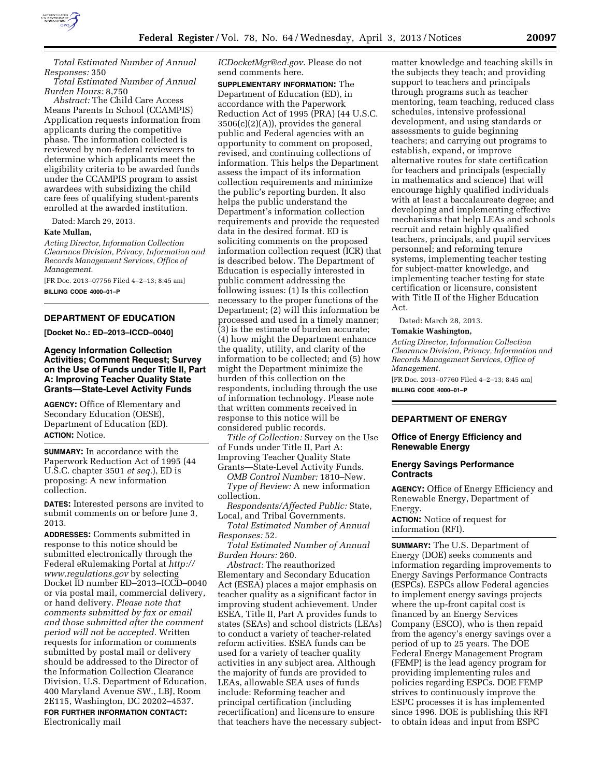

*Total Estimated Number of Annual Responses:* 350

*Total Estimated Number of Annual Burden Hours:* 8,750

*Abstract:* The Child Care Access Means Parents In School (CCAMPIS) Application requests information from applicants during the competitive phase. The information collected is reviewed by non-federal reviewers to determine which applicants meet the eligibility criteria to be awarded funds under the CCAMPIS program to assist awardees with subsidizing the child care fees of qualifying student-parents enrolled at the awarded institution.

Dated: March 29, 2013.

### **Kate Mullan,**

*Acting Director, Information Collection Clearance Division, Privacy, Information and Records Management Services, Office of Management.* 

[FR Doc. 2013–07756 Filed 4–2–13; 8:45 am] **BILLING CODE 4000–01–P** 

# **DEPARTMENT OF EDUCATION**

**[Docket No.: ED–2013–ICCD–0040]** 

**Agency Information Collection Activities; Comment Request; Survey on the Use of Funds under Title II, Part A: Improving Teacher Quality State Grants—State-Level Activity Funds** 

**AGENCY:** Office of Elementary and Secondary Education (OESE), Department of Education (ED). **ACTION:** Notice.

**SUMMARY:** In accordance with the Paperwork Reduction Act of 1995 (44 U.S.C. chapter 3501 *et seq.*), ED is proposing: A new information collection.

**DATES:** Interested persons are invited to submit comments on or before June 3, 2013.

**ADDRESSES:** Comments submitted in response to this notice should be submitted electronically through the Federal eRulemaking Portal at *[http://](http://www.regulations.gov) [www.regulations.gov](http://www.regulations.gov)* by selecting Docket ID number ED–2013–ICCD–0040 or via postal mail, commercial delivery, or hand delivery. *Please note that comments submitted by fax or email and those submitted after the comment period will not be accepted.* Written requests for information or comments submitted by postal mail or delivery should be addressed to the Director of the Information Collection Clearance Division, U.S. Department of Education, 400 Maryland Avenue SW., LBJ, Room 2E115, Washington, DC 20202–4537. **FOR FURTHER INFORMATION CONTACT:**  Electronically mail

*[ICDocketMgr@ed.gov](mailto:ICDocketMgr@ed.gov)*. Please do not send comments here.

**SUPPLEMENTARY INFORMATION:** The Department of Education (ED), in accordance with the Paperwork Reduction Act of 1995 (PRA) (44 U.S.C.  $3506(c)(2)(A)$ , provides the general public and Federal agencies with an opportunity to comment on proposed, revised, and continuing collections of information. This helps the Department assess the impact of its information collection requirements and minimize the public's reporting burden. It also helps the public understand the Department's information collection requirements and provide the requested data in the desired format. ED is soliciting comments on the proposed information collection request (ICR) that is described below. The Department of Education is especially interested in public comment addressing the following issues: (1) Is this collection necessary to the proper functions of the Department; (2) will this information be processed and used in a timely manner; (3) is the estimate of burden accurate; (4) how might the Department enhance the quality, utility, and clarity of the information to be collected; and (5) how might the Department minimize the burden of this collection on the respondents, including through the use of information technology. Please note that written comments received in response to this notice will be considered public records.

*Title of Collection:* Survey on the Use of Funds under Title II, Part A: Improving Teacher Quality State Grants—State-Level Activity Funds.

*OMB Control Number:* 1810–New. *Type of Review:* A new information collection.

*Respondents/Affected Public:* State, Local, and Tribal Governments.

*Total Estimated Number of Annual Responses:* 52.

*Total Estimated Number of Annual Burden Hours:* 260.

*Abstract:* The reauthorized Elementary and Secondary Education Act (ESEA) places a major emphasis on teacher quality as a significant factor in improving student achievement. Under ESEA, Title II, Part A provides funds to states (SEAs) and school districts (LEAs) to conduct a variety of teacher-related reform activities. ESEA funds can be used for a variety of teacher quality activities in any subject area. Although the majority of funds are provided to LEAs, allowable SEA uses of funds include: Reforming teacher and principal certification (including recertification) and licensure to ensure that teachers have the necessary subject-

matter knowledge and teaching skills in the subjects they teach; and providing support to teachers and principals through programs such as teacher mentoring, team teaching, reduced class schedules, intensive professional development, and using standards or assessments to guide beginning teachers; and carrying out programs to establish, expand, or improve alternative routes for state certification for teachers and principals (especially in mathematics and science) that will encourage highly qualified individuals with at least a baccalaureate degree; and developing and implementing effective mechanisms that help LEAs and schools recruit and retain highly qualified teachers, principals, and pupil services personnel; and reforming tenure systems, implementing teacher testing for subject-matter knowledge, and implementing teacher testing for state certification or licensure, consistent with Title II of the Higher Education Act.

Dated: March 28, 2013.

#### **Tomakie Washington,**

*Acting Director, Information Collection Clearance Division, Privacy, Information and Records Management Services, Office of Management.* 

[FR Doc. 2013–07760 Filed 4–2–13; 8:45 am] **BILLING CODE 4000–01–P** 

# **DEPARTMENT OF ENERGY**

# **Office of Energy Efficiency and Renewable Energy**

### **Energy Savings Performance Contracts**

**AGENCY:** Office of Energy Efficiency and Renewable Energy, Department of Energy.

**ACTION:** Notice of request for information (RFI).

**SUMMARY:** The U.S. Department of Energy (DOE) seeks comments and information regarding improvements to Energy Savings Performance Contracts (ESPCs). ESPCs allow Federal agencies to implement energy savings projects where the up-front capital cost is financed by an Energy Services Company (ESCO), who is then repaid from the agency's energy savings over a period of up to 25 years. The DOE Federal Energy Management Program (FEMP) is the lead agency program for providing implementing rules and policies regarding ESPCs. DOE FEMP strives to continuously improve the ESPC processes it is has implemented since 1996. DOE is publishing this RFI to obtain ideas and input from ESPC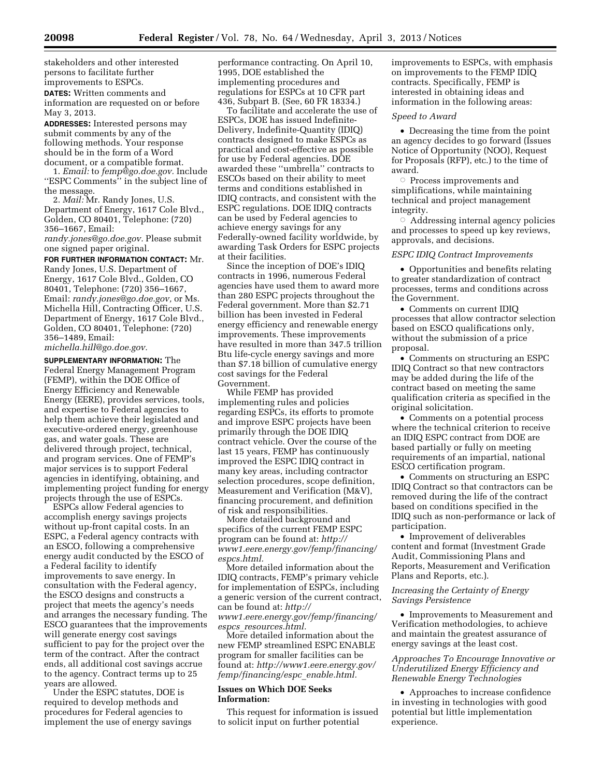stakeholders and other interested persons to facilitate further improvements to ESPCs.

**DATES:** Written comments and information are requested on or before May 3, 2013.

**ADDRESSES:** Interested persons may submit comments by any of the following methods. Your response should be in the form of a Word document, or a compatible format.

1. *Email:* to *[femp@go.doe.gov.](mailto:femp@go.doe.gov)* Include ''ESPC Comments'' in the subject line of the message.

2. *Mail:* Mr. Randy Jones, U.S. Department of Energy, 1617 Cole Blvd., Golden, CO 80401, Telephone: (720) 356–1667, Email:

*[randy.jones@go.doe.gov.](mailto:randy.jones@go.doe.gov)* Please submit one signed paper original.

**FOR FURTHER INFORMATION CONTACT:** Mr. Randy Jones, U.S. Department of Energy, 1617 Cole Blvd., Golden, CO 80401, Telephone: (720) 356–1667, Email: *[randy.jones@go.doe.gov,](mailto:randy.jones@go.doe.gov)* or Ms. Michella Hill, Contracting Officer, U.S. Department of Energy, 1617 Cole Blvd., Golden, CO 80401, Telephone: (720) 356–1489, Email:

*[michella.hill@go.doe.gov.](mailto:michella.hill@go.doe.gov)* 

**SUPPLEMENTARY INFORMATION:** The Federal Energy Management Program (FEMP), within the DOE Office of Energy Efficiency and Renewable Energy (EERE), provides services, tools, and expertise to Federal agencies to help them achieve their legislated and executive-ordered energy, greenhouse gas, and water goals. These are delivered through project, technical, and program services. One of FEMP's major services is to support Federal agencies in identifying, obtaining, and implementing project funding for energy projects through the use of ESPCs.

ESPCs allow Federal agencies to accomplish energy savings projects without up-front capital costs. In an ESPC, a Federal agency contracts with an ESCO, following a comprehensive energy audit conducted by the ESCO of a Federal facility to identify improvements to save energy. In consultation with the Federal agency, the ESCO designs and constructs a project that meets the agency's needs and arranges the necessary funding. The ESCO guarantees that the improvements will generate energy cost savings sufficient to pay for the project over the term of the contract. After the contract ends, all additional cost savings accrue to the agency. Contract terms up to 25 years are allowed.

Under the ESPC statutes, DOE is required to develop methods and procedures for Federal agencies to implement the use of energy savings performance contracting. On April 10, 1995, DOE established the implementing procedures and regulations for ESPCs at 10 CFR part 436, Subpart B. (See, 60 FR 18334.)

To facilitate and accelerate the use of ESPCs, DOE has issued Indefinite-Delivery, Indefinite-Quantity (IDIQ) contracts designed to make ESPCs as practical and cost-effective as possible for use by Federal agencies. DOE awarded these ''umbrella'' contracts to ESCOs based on their ability to meet terms and conditions established in IDIQ contracts, and consistent with the ESPC regulations. DOE IDIQ contracts can be used by Federal agencies to achieve energy savings for any Federally-owned facility worldwide, by awarding Task Orders for ESPC projects at their facilities.

Since the inception of DOE's IDIQ contracts in 1996, numerous Federal agencies have used them to award more than 280 ESPC projects throughout the Federal government. More than \$2.71 billion has been invested in Federal energy efficiency and renewable energy improvements. These improvements have resulted in more than 347.5 trillion Btu life-cycle energy savings and more than \$7.18 billion of cumulative energy cost savings for the Federal Government.

While FEMP has provided implementing rules and policies regarding ESPCs, its efforts to promote and improve ESPC projects have been primarily through the DOE IDIQ contract vehicle. Over the course of the last 15 years, FEMP has continuously improved the ESPC IDIQ contract in many key areas, including contractor selection procedures, scope definition, Measurement and Verification (M&V), financing procurement, and definition of risk and responsibilities.

More detailed background and specifics of the current FEMP ESPC program can be found at: *[http://](http://www1.eere.energy.gov/femp/financing/espcs.html)  [www1.eere.energy.gov/femp/financing/](http://www1.eere.energy.gov/femp/financing/espcs.html) [espcs.html.](http://www1.eere.energy.gov/femp/financing/espcs.html)* 

More detailed information about the IDIQ contracts, FEMP's primary vehicle for implementation of ESPCs, including a generic version of the current contract, can be found at: *[http://](http://www1.eere.energy.gov/femp/financing/espcs_resources.html)* 

*[www1.eere.energy.gov/femp/financing/](http://www1.eere.energy.gov/femp/financing/espcs_resources.html) espcs*\_*[resources.html.](http://www1.eere.energy.gov/femp/financing/espcs_resources.html)* 

More detailed information about the new FEMP streamlined ESPC ENABLE program for smaller facilities can be found at: *[http://www1.eere.energy.gov/](http://www1.eere.energy.gov/femp/financing/espc_enable.html)  [femp/financing/espc](http://www1.eere.energy.gov/femp/financing/espc_enable.html)*\_*enable.html.* 

# **Issues on Which DOE Seeks Information:**

This request for information is issued to solicit input on further potential

improvements to ESPCs, with emphasis on improvements to the FEMP IDIQ contracts. Specifically, FEMP is interested in obtaining ideas and information in the following areas:

### *Speed to Award*

• Decreasing the time from the point an agency decides to go forward (Issues Notice of Opportunity (NOO), Request for Proposals (RFP), etc.) to the time of award.

Æ Process improvements and simplifications, while maintaining technical and project management integrity.

 $\circ$  Addressing internal agency policies and processes to speed up key reviews, approvals, and decisions.

#### *ESPC IDIQ Contract Improvements*

• Opportunities and benefits relating to greater standardization of contract processes, terms and conditions across the Government.

• Comments on current IDIQ processes that allow contractor selection based on ESCO qualifications only, without the submission of a price proposal.

• Comments on structuring an ESPC IDIQ Contract so that new contractors may be added during the life of the contract based on meeting the same qualification criteria as specified in the original solicitation.

• Comments on a potential process where the technical criterion to receive an IDIQ ESPC contract from DOE are based partially or fully on meeting requirements of an impartial, national ESCO certification program.

• Comments on structuring an ESPC IDIQ Contract so that contractors can be removed during the life of the contract based on conditions specified in the IDIQ such as non-performance or lack of participation.

• Improvement of deliverables content and format (Investment Grade Audit, Commissioning Plans and Reports, Measurement and Verification Plans and Reports, etc.).

# *Increasing the Certainty of Energy Savings Persistence*

• Improvements to Measurement and Verification methodologies, to achieve and maintain the greatest assurance of energy savings at the least cost.

*Approaches To Encourage Innovative or Underutilized Energy Efficiency and Renewable Energy Technologies* 

• Approaches to increase confidence in investing in technologies with good potential but little implementation experience.